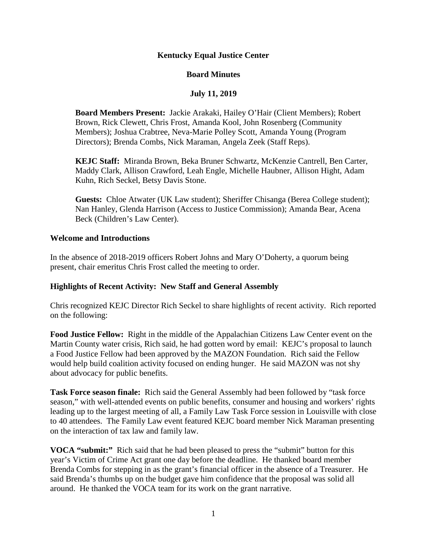### **Kentucky Equal Justice Center**

### **Board Minutes**

# **July 11, 2019**

**Board Members Present:** Jackie Arakaki, Hailey O'Hair (Client Members); Robert Brown, Rick Clewett, Chris Frost, Amanda Kool, John Rosenberg (Community Members); Joshua Crabtree, Neva-Marie Polley Scott, Amanda Young (Program Directors); Brenda Combs, Nick Maraman, Angela Zeek (Staff Reps).

**KEJC Staff:** Miranda Brown, Beka Bruner Schwartz, McKenzie Cantrell, Ben Carter, Maddy Clark, Allison Crawford, Leah Engle, Michelle Haubner, Allison Hight, Adam Kuhn, Rich Seckel, Betsy Davis Stone.

**Guests:** Chloe Atwater (UK Law student); Sheriffer Chisanga (Berea College student); Nan Hanley, Glenda Harrison (Access to Justice Commission); Amanda Bear, Acena Beck (Children's Law Center).

#### **Welcome and Introductions**

In the absence of 2018-2019 officers Robert Johns and Mary O'Doherty, a quorum being present, chair emeritus Chris Frost called the meeting to order.

#### **Highlights of Recent Activity: New Staff and General Assembly**

Chris recognized KEJC Director Rich Seckel to share highlights of recent activity. Rich reported on the following:

**Food Justice Fellow:** Right in the middle of the Appalachian Citizens Law Center event on the Martin County water crisis, Rich said, he had gotten word by email: KEJC's proposal to launch a Food Justice Fellow had been approved by the MAZON Foundation. Rich said the Fellow would help build coalition activity focused on ending hunger. He said MAZON was not shy about advocacy for public benefits.

**Task Force season finale:** Rich said the General Assembly had been followed by "task force season," with well-attended events on public benefits, consumer and housing and workers' rights leading up to the largest meeting of all, a Family Law Task Force session in Louisville with close to 40 attendees. The Family Law event featured KEJC board member Nick Maraman presenting on the interaction of tax law and family law.

**VOCA "submit:"** Rich said that he had been pleased to press the "submit" button for this year's Victim of Crime Act grant one day before the deadline. He thanked board member Brenda Combs for stepping in as the grant's financial officer in the absence of a Treasurer. He said Brenda's thumbs up on the budget gave him confidence that the proposal was solid all around. He thanked the VOCA team for its work on the grant narrative.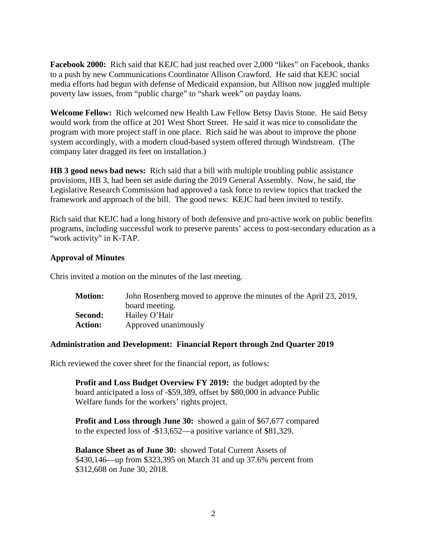**Facebook 2000:** Rich said that KEJC had just reached over 2,000 "likes" on Facebook, thanks to a push by new Communications Coordinator Allison Crawford. He said that KEJC social media efforts had begun with defense of Medicaid expansion, but Allison now juggled multiple poverty law issues, from "public charge" to "shark week" on payday loans.

**Welcome Fellow:** Rich welcomed new Health Law Fellow Betsy Davis Stone. He said Betsy would work from the office at 201 West Short Street. He said it was nice to consolidate the program with more project staff in one place. Rich said he was about to improve the phone system accordingly, with a modern cloud-based system offered through Windstream. (The company later dragged its feet on installation.)

**HB 3 good news bad news:** Rich said that a bill with multiple troubling public assistance provisions, HB 3, had been set aside during the 2019 General Assembly. Now, he said, the Legislative Research Commission had approved a task force to review topics that tracked the framework and approach of the bill. The good news: KEJC had been invited to testify.

Rich said that KEJC had a long history of both defensive and pro-active work on public benefits programs, including successful work to preserve parents' access to post-secondary education as a "work activity" in K-TAP.

#### **Approval of Minutes**

Chris invited a motion on the minutes of the last meeting.

| <b>Motion:</b> | John Rosenberg moved to approve the minutes of the April 23, 2019, |
|----------------|--------------------------------------------------------------------|
|                | board meeting.                                                     |
| Second:        | Hailey O'Hair                                                      |
| <b>Action:</b> | Approved unanimously                                               |

#### **Administration and Development: Financial Report through 2nd Quarter 2019**

Rich reviewed the cover sheet for the financial report, as follows:

**Profit and Loss Budget Overview FY 2019:** the budget adopted by the board anticipated a loss of -\$59,389, offset by \$80,000 in advance Public Welfare funds for the workers' rights project.

**Profit and Loss through June 30:** showed a gain of \$67,677 compared to the expected loss of -\$13,652—a positive variance of \$81,329.

**Balance Sheet as of June 30:** showed Total Current Assets of \$430,146—up from \$323,395 on March 31 and up 37.6% percent from \$312,608 on June 30, 2018.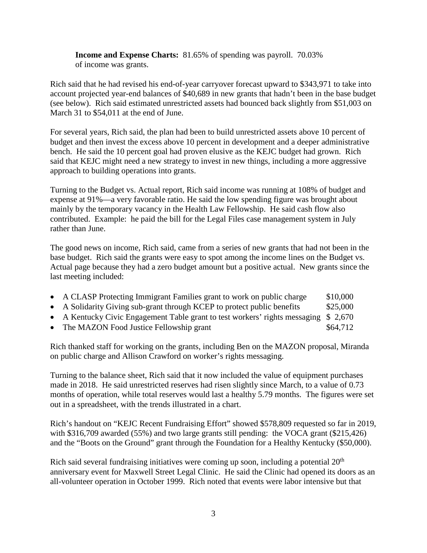**Income and Expense Charts:** 81.65% of spending was payroll. 70.03% of income was grants.

Rich said that he had revised his end-of-year carryover forecast upward to \$343,971 to take into account projected year-end balances of \$40,689 in new grants that hadn't been in the base budget (see below). Rich said estimated unrestricted assets had bounced back slightly from \$51,003 on March 31 to \$54,011 at the end of June.

For several years, Rich said, the plan had been to build unrestricted assets above 10 percent of budget and then invest the excess above 10 percent in development and a deeper administrative bench. He said the 10 percent goal had proven elusive as the KEJC budget had grown. Rich said that KEJC might need a new strategy to invest in new things, including a more aggressive approach to building operations into grants.

Turning to the Budget vs. Actual report, Rich said income was running at 108% of budget and expense at 91%—a very favorable ratio. He said the low spending figure was brought about mainly by the temporary vacancy in the Health Law Fellowship. He said cash flow also contributed. Example: he paid the bill for the Legal Files case management system in July rather than June.

The good news on income, Rich said, came from a series of new grants that had not been in the base budget. Rich said the grants were easy to spot among the income lines on the Budget vs. Actual page because they had a zero budget amount but a positive actual. New grants since the last meeting included:

| • A CLASP Protecting Immigrant Families grant to work on public charge              | \$10,000                          |
|-------------------------------------------------------------------------------------|-----------------------------------|
| • A Solidarity Giving sub-grant through KCEP to protect public benefits             | \$25,000                          |
| • A Kentucky Civic Engagement Table grant to test workers' rights messaging \$2,670 |                                   |
|                                                                                     | $\phi$ $\sim$ $\mu$ $\sim$ $\eta$ |

• The MAZON Food Justice Fellowship grant  $$64,712$ 

Rich thanked staff for working on the grants, including Ben on the MAZON proposal, Miranda on public charge and Allison Crawford on worker's rights messaging.

Turning to the balance sheet, Rich said that it now included the value of equipment purchases made in 2018. He said unrestricted reserves had risen slightly since March, to a value of 0.73 months of operation, while total reserves would last a healthy 5.79 months. The figures were set out in a spreadsheet, with the trends illustrated in a chart.

Rich's handout on "KEJC Recent Fundraising Effort" showed \$578,809 requested so far in 2019, with \$316,709 awarded (55%) and two large grants still pending: the VOCA grant (\$215,426) and the "Boots on the Ground" grant through the Foundation for a Healthy Kentucky (\$50,000).

Rich said several fundraising initiatives were coming up soon, including a potential  $20<sup>th</sup>$ anniversary event for Maxwell Street Legal Clinic. He said the Clinic had opened its doors as an all-volunteer operation in October 1999. Rich noted that events were labor intensive but that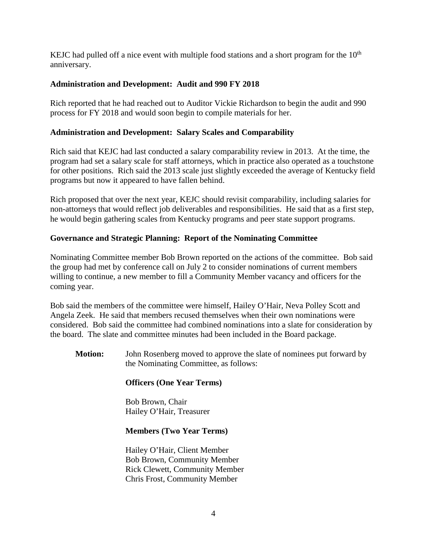KEJC had pulled off a nice event with multiple food stations and a short program for the  $10<sup>th</sup>$ anniversary.

# **Administration and Development: Audit and 990 FY 2018**

Rich reported that he had reached out to Auditor Vickie Richardson to begin the audit and 990 process for FY 2018 and would soon begin to compile materials for her.

# **Administration and Development: Salary Scales and Comparability**

Rich said that KEJC had last conducted a salary comparability review in 2013. At the time, the program had set a salary scale for staff attorneys, which in practice also operated as a touchstone for other positions. Rich said the 2013 scale just slightly exceeded the average of Kentucky field programs but now it appeared to have fallen behind.

Rich proposed that over the next year, KEJC should revisit comparability, including salaries for non-attorneys that would reflect job deliverables and responsibilities. He said that as a first step, he would begin gathering scales from Kentucky programs and peer state support programs.

# **Governance and Strategic Planning: Report of the Nominating Committee**

Nominating Committee member Bob Brown reported on the actions of the committee. Bob said the group had met by conference call on July 2 to consider nominations of current members willing to continue, a new member to fill a Community Member vacancy and officers for the coming year.

Bob said the members of the committee were himself, Hailey O'Hair, Neva Polley Scott and Angela Zeek. He said that members recused themselves when their own nominations were considered. Bob said the committee had combined nominations into a slate for consideration by the board. The slate and committee minutes had been included in the Board package.

**Motion:** John Rosenberg moved to approve the slate of nominees put forward by the Nominating Committee, as follows:

# **Officers (One Year Terms)**

Bob Brown, Chair Hailey O'Hair, Treasurer

# **Members (Two Year Terms)**

Hailey O'Hair, Client Member Bob Brown, Community Member Rick Clewett, Community Member Chris Frost, Community Member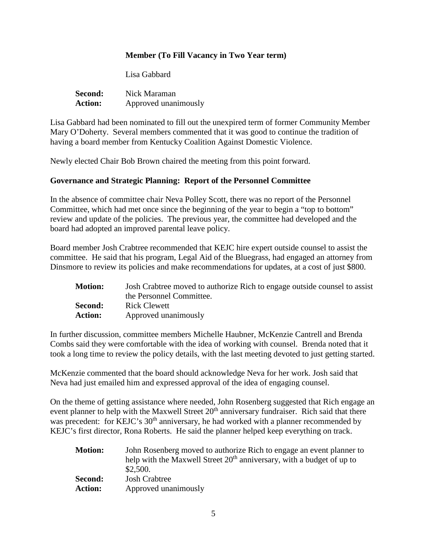### **Member (To Fill Vacancy in Two Year term)**

Lisa Gabbard

| <b>Second:</b> | Nick Maraman         |
|----------------|----------------------|
| <b>Action:</b> | Approved unanimously |

Lisa Gabbard had been nominated to fill out the unexpired term of former Community Member Mary O'Doherty. Several members commented that it was good to continue the tradition of having a board member from Kentucky Coalition Against Domestic Violence.

Newly elected Chair Bob Brown chaired the meeting from this point forward.

#### **Governance and Strategic Planning: Report of the Personnel Committee**

In the absence of committee chair Neva Polley Scott, there was no report of the Personnel Committee, which had met once since the beginning of the year to begin a "top to bottom" review and update of the policies. The previous year, the committee had developed and the board had adopted an improved parental leave policy.

Board member Josh Crabtree recommended that KEJC hire expert outside counsel to assist the committee. He said that his program, Legal Aid of the Bluegrass, had engaged an attorney from Dinsmore to review its policies and make recommendations for updates, at a cost of just \$800.

| <b>Motion:</b> | Josh Crabtree moved to authorize Rich to engage outside counsel to assist |
|----------------|---------------------------------------------------------------------------|
|                | the Personnel Committee.                                                  |
| Second:        | <b>Rick Clewett</b>                                                       |
| <b>Action:</b> | Approved unanimously                                                      |

In further discussion, committee members Michelle Haubner, McKenzie Cantrell and Brenda Combs said they were comfortable with the idea of working with counsel. Brenda noted that it took a long time to review the policy details, with the last meeting devoted to just getting started.

McKenzie commented that the board should acknowledge Neva for her work. Josh said that Neva had just emailed him and expressed approval of the idea of engaging counsel.

On the theme of getting assistance where needed, John Rosenberg suggested that Rich engage an event planner to help with the Maxwell Street 20<sup>th</sup> anniversary fundraiser. Rich said that there was precedent: for KEJC's 30<sup>th</sup> anniversary, he had worked with a planner recommended by KEJC's first director, Rona Roberts. He said the planner helped keep everything on track.

| <b>Motion:</b> | John Rosenberg moved to authorize Rich to engage an event planner to              |
|----------------|-----------------------------------------------------------------------------------|
|                | help with the Maxwell Street 20 <sup>th</sup> anniversary, with a budget of up to |
|                | \$2,500.                                                                          |
| Second:        | <b>Josh Crabtree</b>                                                              |
| <b>Action:</b> | Approved unanimously                                                              |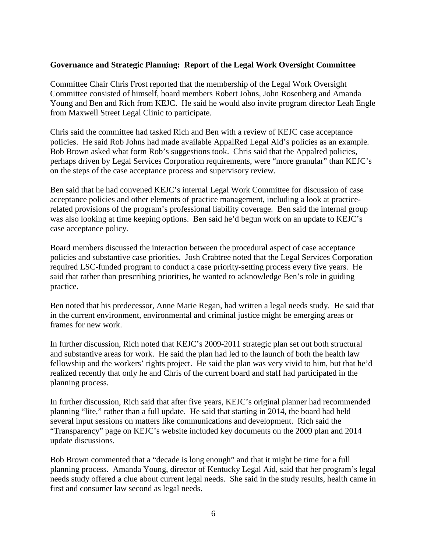#### **Governance and Strategic Planning: Report of the Legal Work Oversight Committee**

Committee Chair Chris Frost reported that the membership of the Legal Work Oversight Committee consisted of himself, board members Robert Johns, John Rosenberg and Amanda Young and Ben and Rich from KEJC. He said he would also invite program director Leah Engle from Maxwell Street Legal Clinic to participate.

Chris said the committee had tasked Rich and Ben with a review of KEJC case acceptance policies. He said Rob Johns had made available AppalRed Legal Aid's policies as an example. Bob Brown asked what form Rob's suggestions took. Chris said that the Appalred policies, perhaps driven by Legal Services Corporation requirements, were "more granular" than KEJC's on the steps of the case acceptance process and supervisory review.

Ben said that he had convened KEJC's internal Legal Work Committee for discussion of case acceptance policies and other elements of practice management, including a look at practicerelated provisions of the program's professional liability coverage. Ben said the internal group was also looking at time keeping options. Ben said he'd begun work on an update to KEJC's case acceptance policy.

Board members discussed the interaction between the procedural aspect of case acceptance policies and substantive case priorities. Josh Crabtree noted that the Legal Services Corporation required LSC-funded program to conduct a case priority-setting process every five years. He said that rather than prescribing priorities, he wanted to acknowledge Ben's role in guiding practice.

Ben noted that his predecessor, Anne Marie Regan, had written a legal needs study. He said that in the current environment, environmental and criminal justice might be emerging areas or frames for new work.

In further discussion, Rich noted that KEJC's 2009-2011 strategic plan set out both structural and substantive areas for work. He said the plan had led to the launch of both the health law fellowship and the workers' rights project. He said the plan was very vivid to him, but that he'd realized recently that only he and Chris of the current board and staff had participated in the planning process.

In further discussion, Rich said that after five years, KEJC's original planner had recommended planning "lite," rather than a full update. He said that starting in 2014, the board had held several input sessions on matters like communications and development. Rich said the "Transparency" page on KEJC's website included key documents on the 2009 plan and 2014 update discussions.

Bob Brown commented that a "decade is long enough" and that it might be time for a full planning process. Amanda Young, director of Kentucky Legal Aid, said that her program's legal needs study offered a clue about current legal needs. She said in the study results, health came in first and consumer law second as legal needs.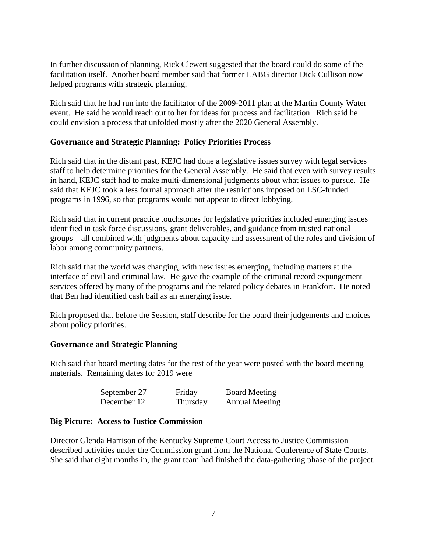In further discussion of planning, Rick Clewett suggested that the board could do some of the facilitation itself. Another board member said that former LABG director Dick Cullison now helped programs with strategic planning.

Rich said that he had run into the facilitator of the 2009-2011 plan at the Martin County Water event. He said he would reach out to her for ideas for process and facilitation. Rich said he could envision a process that unfolded mostly after the 2020 General Assembly.

#### **Governance and Strategic Planning: Policy Priorities Process**

Rich said that in the distant past, KEJC had done a legislative issues survey with legal services staff to help determine priorities for the General Assembly. He said that even with survey results in hand, KEJC staff had to make multi-dimensional judgments about what issues to pursue. He said that KEJC took a less formal approach after the restrictions imposed on LSC-funded programs in 1996, so that programs would not appear to direct lobbying.

Rich said that in current practice touchstones for legislative priorities included emerging issues identified in task force discussions, grant deliverables, and guidance from trusted national groups—all combined with judgments about capacity and assessment of the roles and division of labor among community partners.

Rich said that the world was changing, with new issues emerging, including matters at the interface of civil and criminal law. He gave the example of the criminal record expungement services offered by many of the programs and the related policy debates in Frankfort. He noted that Ben had identified cash bail as an emerging issue.

Rich proposed that before the Session, staff describe for the board their judgements and choices about policy priorities.

#### **Governance and Strategic Planning**

Rich said that board meeting dates for the rest of the year were posted with the board meeting materials. Remaining dates for 2019 were

| September 27 | Friday   | <b>Board Meeting</b>  |
|--------------|----------|-----------------------|
| December 12  | Thursday | <b>Annual Meeting</b> |

#### **Big Picture: Access to Justice Commission**

Director Glenda Harrison of the Kentucky Supreme Court Access to Justice Commission described activities under the Commission grant from the National Conference of State Courts. She said that eight months in, the grant team had finished the data-gathering phase of the project.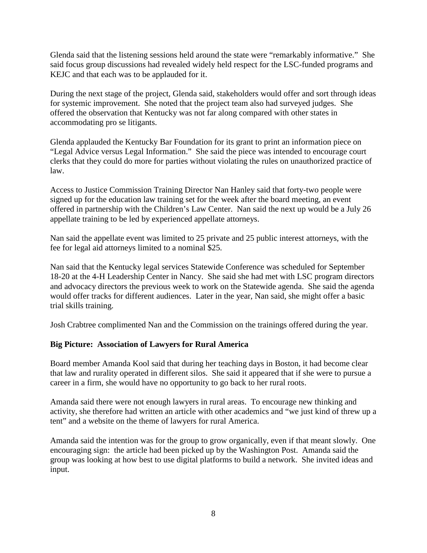Glenda said that the listening sessions held around the state were "remarkably informative." She said focus group discussions had revealed widely held respect for the LSC-funded programs and KEJC and that each was to be applauded for it.

During the next stage of the project, Glenda said, stakeholders would offer and sort through ideas for systemic improvement. She noted that the project team also had surveyed judges. She offered the observation that Kentucky was not far along compared with other states in accommodating pro se litigants.

Glenda applauded the Kentucky Bar Foundation for its grant to print an information piece on "Legal Advice versus Legal Information." She said the piece was intended to encourage court clerks that they could do more for parties without violating the rules on unauthorized practice of law.

Access to Justice Commission Training Director Nan Hanley said that forty-two people were signed up for the education law training set for the week after the board meeting, an event offered in partnership with the Children's Law Center. Nan said the next up would be a July 26 appellate training to be led by experienced appellate attorneys.

Nan said the appellate event was limited to 25 private and 25 public interest attorneys, with the fee for legal aid attorneys limited to a nominal \$25.

Nan said that the Kentucky legal services Statewide Conference was scheduled for September 18-20 at the 4-H Leadership Center in Nancy. She said she had met with LSC program directors and advocacy directors the previous week to work on the Statewide agenda. She said the agenda would offer tracks for different audiences. Later in the year, Nan said, she might offer a basic trial skills training.

Josh Crabtree complimented Nan and the Commission on the trainings offered during the year.

# **Big Picture: Association of Lawyers for Rural America**

Board member Amanda Kool said that during her teaching days in Boston, it had become clear that law and rurality operated in different silos. She said it appeared that if she were to pursue a career in a firm, she would have no opportunity to go back to her rural roots.

Amanda said there were not enough lawyers in rural areas. To encourage new thinking and activity, she therefore had written an article with other academics and "we just kind of threw up a tent" and a website on the theme of lawyers for rural America.

Amanda said the intention was for the group to grow organically, even if that meant slowly. One encouraging sign: the article had been picked up by the Washington Post. Amanda said the group was looking at how best to use digital platforms to build a network. She invited ideas and input.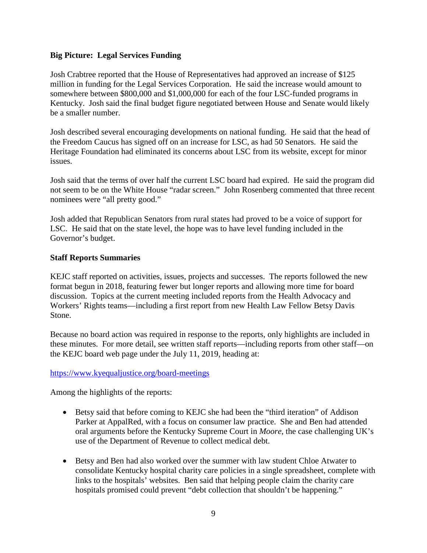### **Big Picture: Legal Services Funding**

Josh Crabtree reported that the House of Representatives had approved an increase of \$125 million in funding for the Legal Services Corporation. He said the increase would amount to somewhere between \$800,000 and \$1,000,000 for each of the four LSC-funded programs in Kentucky. Josh said the final budget figure negotiated between House and Senate would likely be a smaller number.

Josh described several encouraging developments on national funding. He said that the head of the Freedom Caucus has signed off on an increase for LSC, as had 50 Senators. He said the Heritage Foundation had eliminated its concerns about LSC from its website, except for minor issues.

Josh said that the terms of over half the current LSC board had expired. He said the program did not seem to be on the White House "radar screen." John Rosenberg commented that three recent nominees were "all pretty good."

Josh added that Republican Senators from rural states had proved to be a voice of support for LSC. He said that on the state level, the hope was to have level funding included in the Governor's budget.

### **Staff Reports Summaries**

KEJC staff reported on activities, issues, projects and successes. The reports followed the new format begun in 2018, featuring fewer but longer reports and allowing more time for board discussion. Topics at the current meeting included reports from the Health Advocacy and Workers' Rights teams—including a first report from new Health Law Fellow Betsy Davis Stone.

Because no board action was required in response to the reports, only highlights are included in these minutes. For more detail, see written staff reports—including reports from other staff—on the KEJC board web page under the July 11, 2019, heading at:

#### <https://www.kyequaljustice.org/board-meetings>

Among the highlights of the reports:

- Betsy said that before coming to KEJC she had been the "third iteration" of Addison Parker at AppalRed, with a focus on consumer law practice. She and Ben had attended oral arguments before the Kentucky Supreme Court in *Moore*, the case challenging UK's use of the Department of Revenue to collect medical debt.
- Betsy and Ben had also worked over the summer with law student Chloe Atwater to consolidate Kentucky hospital charity care policies in a single spreadsheet, complete with links to the hospitals' websites. Ben said that helping people claim the charity care hospitals promised could prevent "debt collection that shouldn't be happening."